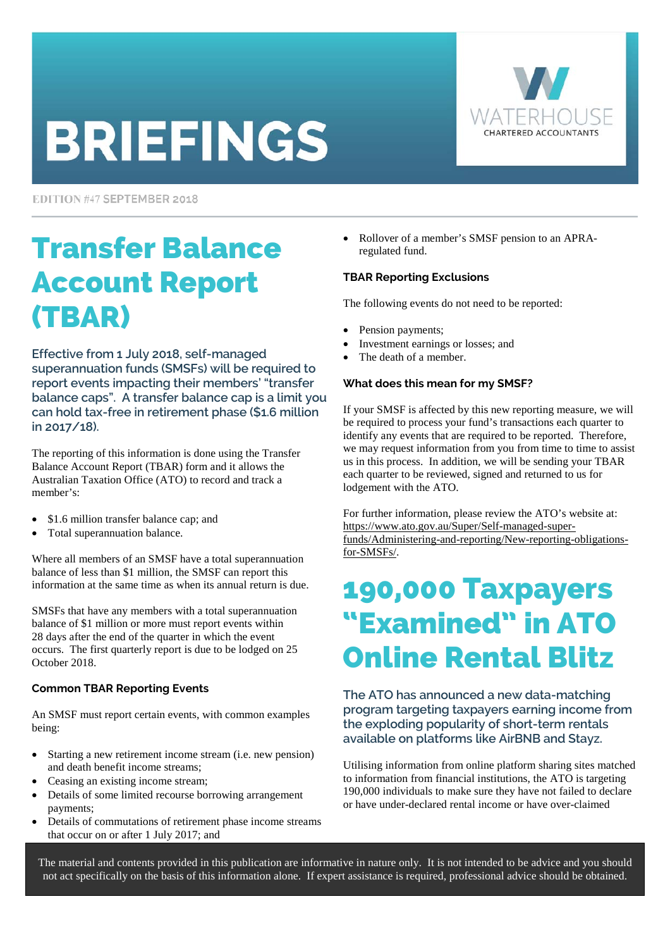# **BRIEFINGS**



EDITION #47 SEPTEMBER 2018

# Transfer Balance Account Report (TBAR)

**Effective from 1 July 2018, self-managed superannuation funds (SMSFs) will be required to report events impacting their members' "transfer balance caps". A transfer balance cap is a limit you can hold tax-free in retirement phase (\$1.6 million in 2017/18).** 

The reporting of this information is done using the Transfer Balance Account Report (TBAR) form and it allows the Australian Taxation Office (ATO) to record and track a member's:

- \$1.6 million transfer balance cap; and
- Total superannuation balance.

Where all members of an SMSF have a total superannuation balance of less than \$1 million, the SMSF can report this information at the same time as when its annual return is due.

SMSFs that have any members with a total superannuation balance of \$1 million or more must report events within 28 days after the end of the quarter in which the event occurs. The first quarterly report is due to be lodged on 25 October 2018.

#### **Common TBAR Reporting Events**

An SMSF must report certain events, with common examples being:

- Starting a new retirement income stream (i.e. new pension) and death benefit income streams;
- Ceasing an existing income stream;
- Details of some limited recourse borrowing arrangement payments;
- Details of commutations of retirement phase income streams that occur on or after 1 July 2017; and

• Rollover of a member's SMSF pension to an APRAregulated fund.

#### **TBAR Reporting Exclusions**

The following events do not need to be reported:

- Pension payments;
- Investment earnings or losses; and
- The death of a member.

#### **What does this mean for my SMSF?**

If your SMSF is affected by this new reporting measure, we will be required to process your fund's transactions each quarter to identify any events that are required to be reported. Therefore, we may request information from you from time to time to assist us in this process. In addition, we will be sending your TBAR each quarter to be reviewed, signed and returned to us for lodgement with the ATO.

For further information, please review the ATO's website at: https://www.ato.gov.au/Super/Self-managed-super[funds/Administering-and-reporting/New-reporting-obligations](https://www.ato.gov.au/Super/Self-managed-super-funds/Administering-and-reporting/New-reporting-obligations-for-SMSFs/)for-SMSFs/.

### 190,000 Taxpayers "Examined" in ATO Online Rental Blitz

**The ATO has announced a new data-matching program targeting taxpayers earning income from the exploding popularity of short-term rentals available on platforms like AirBNB and Stayz.** 

Utilising information from online platform sharing sites matched to information from financial institutions, the ATO is targeting 190,000 individuals to make sure they have not failed to declare or have under-declared rental income or have over-claimed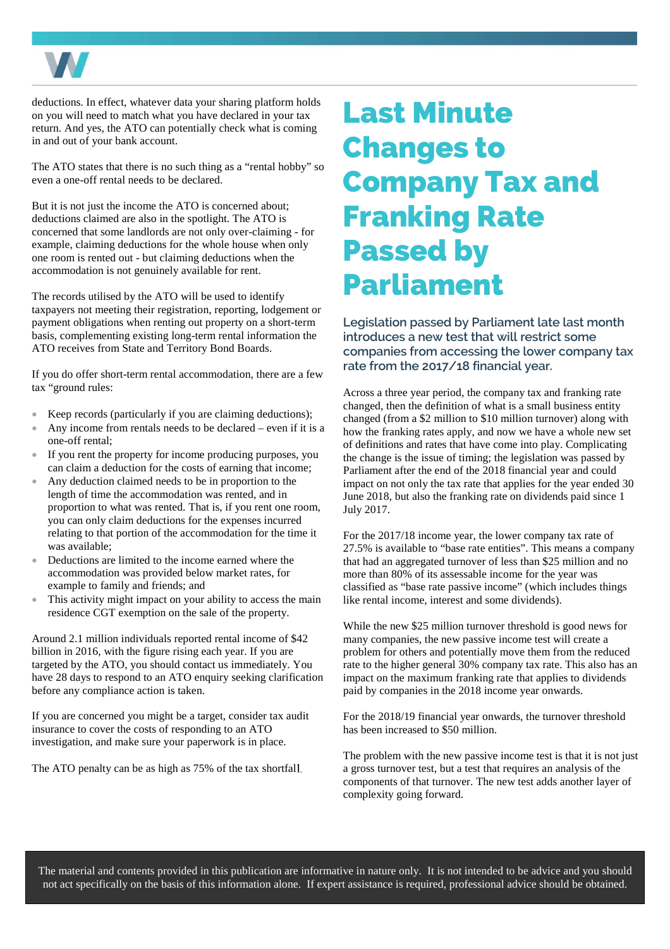

deductions. In effect, whatever data your sharing platform holds on you will need to match what you have declared in your tax return. And yes, the ATO can potentially check what is coming in and out of your bank account.

The ATO states that there is no such thing as a "rental hobby" so even a one-off rental needs to be declared.

But it is not just the income the ATO is concerned about; deductions claimed are also in the spotlight. The ATO is concerned that some landlords are not only over-claiming - for example, claiming deductions for the whole house when only one room is rented out - but claiming deductions when the accommodation is not genuinely available for rent.

The records utilised by the ATO will be used to identify taxpayers not meeting their registration, reporting, lodgement or payment obligations when renting out property on a short-term basis, complementing existing long-term rental information the ATO receives from State and Territory Bond Boards.

If you do offer short-term rental accommodation, there are a few tax "ground rules:

- Keep records (particularly if you are claiming deductions);
- Any income from rentals needs to be declared even if it is a one-off rental;
- If you rent the property for income producing purposes, you can claim a deduction for the costs of earning that income;
- Any deduction claimed needs to be in proportion to the length of time the accommodation was rented, and in proportion to what was rented. That is, if you rent one room, you can only claim deductions for the expenses incurred relating to that portion of the accommodation for the time it was available;
- Deductions are limited to the income earned where the accommodation was provided below market rates, for example to family and friends; and
- This activity might impact on your ability to access the main residence CGT exemption on the sale of the property.

Around 2.1 million individuals reported rental income of \$42 billion in 2016, with the figure rising each year. If you are targeted by the ATO, you should contact us immediately. You have 28 days to respond to an ATO enquiry seeking clarification before any compliance action is taken.

If you are concerned you might be a target, consider tax audit insurance to cover the costs of responding to an ATO investigation, and make sure your paperwork is in place.

The ATO penalty can be as high as 75% of the tax shortfall.

# Last Minute Changes to Company Tax and Franking Rate Passed by Parliament

**Legislation passed by Parliament late last month introduces a new test that will restrict some companies from accessing the lower company tax rate from the 2017/18 financial year.** 

Across a three year period, the company tax and franking rate changed, then the definition of what is a small business entity changed (from a \$2 million to \$10 million turnover) along with how the franking rates apply, and now we have a whole new set of definitions and rates that have come into play. Complicating the change is the issue of timing; the legislation was passed by Parliament after the end of the 2018 financial year and could impact on not only the tax rate that applies for the year ended 30 June 2018, but also the franking rate on dividends paid since 1 July 2017.

For the 2017/18 income year, the lower company tax rate of 27.5% is available to "base rate entities". This means a company that had an aggregated turnover of less than \$25 million and no more than 80% of its assessable income for the year was classified as "base rate passive income" (which includes things like rental income, interest and some dividends).

While the new \$25 million turnover threshold is good news for many companies, the new passive income test will create a problem for others and potentially move them from the reduced rate to the higher general 30% company tax rate. This also has an impact on the maximum franking rate that applies to dividends paid by companies in the 2018 income year onwards.

For the 2018/19 financial year onwards, the turnover threshold has been increased to \$50 million.

The problem with the new passive income test is that it is not just a gross turnover test, but a test that requires an analysis of the components of that turnover. The new test adds another layer of complexity going forward.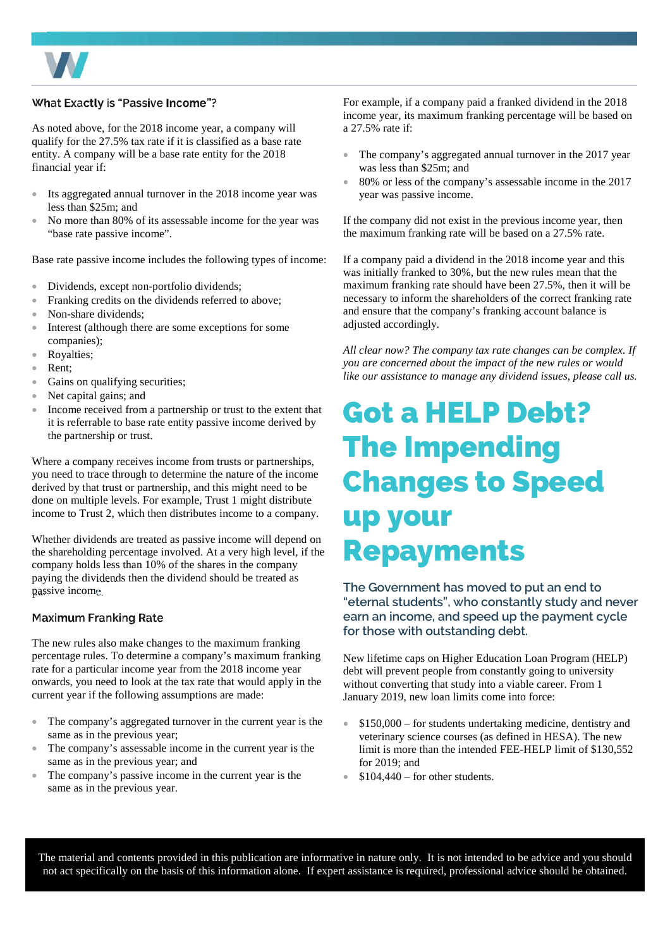

#### What Exactly is "Passive Income"?

As noted above, for the 2018 income year, a company will qualify for the 27.5% tax rate if it is classified as a base rate entity. A company will be a base rate entity for the 2018 financial year if:

- Its aggregated annual turnover in the 2018 income year was less than \$25m; and
- No more than 80% of its assessable income for the year was "base rate passive income".

Base rate passive income includes the following types of income:

- Dividends, except non-portfolio dividends;
- Franking credits on the dividends referred to above;
- Non-share dividends;
- Interest (although there are some exceptions for some companies);
- Royalties;
- Rent:
- Gains on qualifying securities;
- Net capital gains; and
- Income received from a partnership or trust to the extent that it is referrable to base rate entity passive income derived by the partnership or trust.

Where a company receives income from trusts or partnerships, you need to trace through to determine the nature of the income derived by that trust or partnership, and this might need to be done on multiple levels. For example, Trust 1 might distribute income to Trust 2, which then distributes income to a company.

Whether dividends are treated as passive income will depend on the shareholding percentage involved. At a very high level, if the company holds less than 10% of the shares in the company paying the dividends then the dividend should be treated as passive income.

#### **Maximum Franking Rate**

The new rules also make changes to the maximum franking percentage rules. To determine a company's maximum franking rate for a particular income year from the 2018 income year onwards, you need to look at the tax rate that would apply in the current year if the following assumptions are made:

- The company's aggregated turnover in the current year is the same as in the previous year;
- The company's assessable income in the current year is the same as in the previous year; and
- The company's passive income in the current year is the same as in the previous year.

For example, if a company paid a franked dividend in the 2018 income year, its maximum franking percentage will be based on a 27.5% rate if:

- The company's aggregated annual turnover in the 2017 year was less than \$25m; and
- 80% or less of the company's assessable income in the 2017 year was passive income.

If the company did not exist in the previous income year, then the maximum franking rate will be based on a 27.5% rate.

If a company paid a dividend in the 2018 income year and this was initially franked to 30%, but the new rules mean that the maximum franking rate should have been 27.5%, then it will be necessary to inform the shareholders of the correct franking rate and ensure that the company's franking account balance is adjusted accordingly.

*All clear now? The company tax rate changes can be complex. If you are concerned about the impact of the new rules or would like our assistance to manage any dividend issues, please call us.* 

### Got a HELP Debt? The Impending Changes to Speed up your Repayments

**The Government has moved to put an end to "eternal students", who constantly study and never earn an income, and speed up the payment cycle for those with outstanding debt.** 

New lifetime caps on Higher Education Loan Program (HELP) debt will prevent people from constantly going to university without converting that study into a viable career. From 1 January 2019, new loan limits come into force:

- \$150,000 for students undertaking medicine, dentistry and veterinary science courses (as defined in HESA). The new limit is more than the intended FEE-HELP limit of \$130,552 for 2019; and
- $\bullet$  \$104,440 for other students.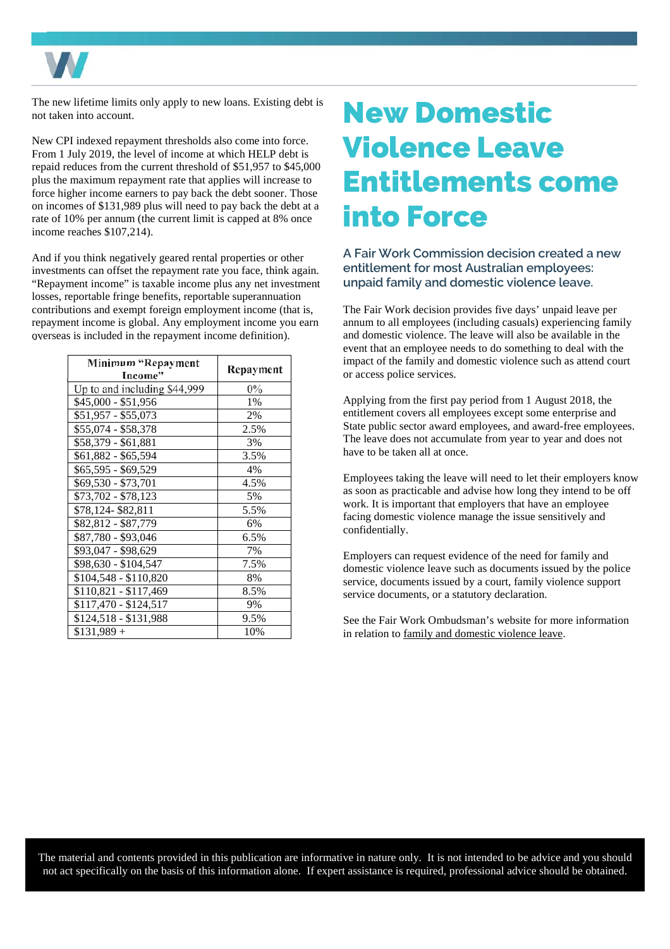

The new lifetime limits only apply to new loans. Existing debt is not taken into account.

New CPI indexed repayment thresholds also come into force. From 1 July 2019, the level of income at which HELP debt is repaid reduces from the current threshold of \$51,957 to \$45,000 plus the maximum repayment rate that applies will increase to force higher income earners to pay back the debt sooner. Those on incomes of \$131,989 plus will need to pay back the debt at a rate of 10% per annum (the current limit is capped at 8% once income reaches \$107,214).

And if you think negatively geared rental properties or other investments can offset the repayment rate you face, think again. "Repayment income" is taxable income plus any net investment losses, reportable fringe benefits, reportable superannuation contributions and exempt foreign employment income (that is, repayment income is global. Any employment income you earn overseas is included in the repayment income definition).

| Minimum "Repayment           | Repayment |
|------------------------------|-----------|
| Income"                      |           |
| Up to and including \$44,999 | $0\%$     |
| \$45,000 - \$51,956          | 1%        |
| \$51,957 - \$55,073          | 2%        |
| \$55,074 - \$58,378          | 2.5%      |
| \$58,379 - \$61,881          | 3%        |
| \$61,882 - \$65,594          | 3.5%      |
| \$65,595 - \$69,529          | 4%        |
| \$69,530 - \$73,701          | 4.5%      |
| \$73,702 - \$78,123          | 5%        |
| \$78,124-\$82,811            | 5.5%      |
| \$82,812 - \$87,779          | 6%        |
| \$87,780 - \$93,046          | 6.5%      |
| \$93,047 - \$98,629          | 7%        |
| \$98,630 - \$104,547         | 7.5%      |
| \$104,548 - \$110,820        | 8%        |
| \$110,821 - \$117,469        | 8.5%      |
| \$117,470 - \$124,517        | 9%        |
| \$124,518 - \$131,988        | 9.5%      |
| $$131,989 +$                 | 10%       |

### New Domestic Violence Leave Entitlements come into Force

**A Fair Work Commission decision created a new entitlement for most Australian employees: unpaid family and domestic violence leave.** 

The Fair Work decision provides five days' unpaid leave per annum to all employees (including casuals) experiencing family and domestic violence. The leave will also be available in the event that an employee needs to do something to deal with the impact of the family and domestic violence such as attend court or access police services.

Applying from the first pay period from 1 August 2018, the entitlement covers all employees except some enterprise and State public sector award employees, and award-free employees. The leave does not accumulate from year to year and does not have to be taken all at once.

Employees taking the leave will need to let their employers know as soon as practicable and advise how long they intend to be off work. It is important that employers that have an employee facing domestic violence manage the issue sensitively and confidentially.

Employers can request evidence of the need for family and domestic violence leave such as documents issued by the police service, documents issued by a court, family violence support service documents, or a statutory declaration.

See the Fair Work Ombudsman's website for more information in relation to [family and domestic violence leave.](https://www.fairwork.gov.au/leave/family-and-domestic-violence-leave)